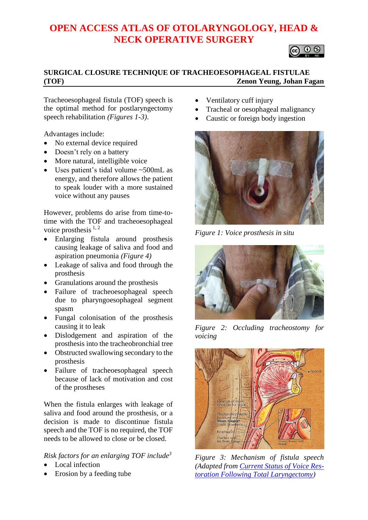# **OPEN ACCESS ATLAS OF OTOLARYNGOLOGY, HEAD & NECK OPERATIVE SURGERY**



# **SURGICAL CLOSURE TECHNIQUE OF TRACHEOESOPHAGEAL FISTULAE (TOF) Zenon Yeung, Johan Fagan**

Tracheoesophageal fistula (TOF) speech is the optimal method for postlaryngectomy speech rehabilitation *(Figures 1-3)*.

Advantages include:

- No external device required
- Doesn't rely on a battery
- More natural, intelligible voice
- Uses patient's tidal volume ~500mL as energy, and therefore allows the patient to speak louder with a more sustained voice without any pauses

However, problems do arise from time-totime with the TOF and tracheoesophageal voice prosthesis  $1, 2$ 

- Enlarging fistula around prosthesis causing leakage of saliva and food and aspiration pneumonia *(Figure 4)*
- Leakage of saliva and food through the prosthesis
- Granulations around the prosthesis
- Failure of tracheoesophageal speech due to pharyngoesophageal segment spasm
- Fungal colonisation of the prosthesis causing it to leak
- Dislodgement and aspiration of the prosthesis into the tracheobronchial tree
- Obstructed swallowing secondary to the prosthesis
- Failure of tracheoesophageal speech because of lack of motivation and cost of the prostheses

When the fistula enlarges with leakage of saliva and food around the prosthesis, or a decision is made to discontinue fistula speech and the TOF is no required, the TOF needs to be allowed to close or be closed.

*Risk factors for an enlarging TOF include<sup>3</sup>*

- Local infection
- Erosion by a feeding tube
- Ventilatory cuff injury
- Tracheal or oesophageal malignancy
- Caustic or foreign body ingestion



*Figure 1: Voice prosthesis in situ*



*Figure 2: Occluding tracheostomy for voicing*



*Figure 3: Mechanism of fistula speech (Adapted from [Current Status of Voice Res](https://www.cancernetwork.com/head-neck-cancer/current-status-voice-restoration-following-total-laryngectomy/page/0/1)[toration Following Total Laryngectomy\)](https://www.cancernetwork.com/head-neck-cancer/current-status-voice-restoration-following-total-laryngectomy/page/0/1)*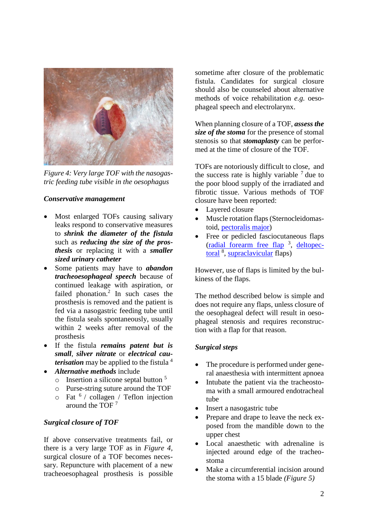

*Figure 4: Very large TOF with the nasogastric feeding tube visible in the oesophagus*

## *Conservative management*

- Most enlarged TOFs causing salivary leaks respond to conservative measures to *shrink the diameter of the fistula* such as *reducing the size of the prosthesis* or replacing it with a *smaller sized urinary catheter*
- Some patients may have to *abandon tracheoesophageal speech* because of continued leakage with aspiration, or failed phonation.<sup>2</sup> In such cases the prosthesis is removed and the patient is fed via a nasogastric feeding tube until the fistula seals spontaneously, usually within 2 weeks after removal of the prosthesis
- If the fistula *remains patent but is small*, *silver nitrate* or *electrical cauterisation* may be applied to the fistula <sup>4</sup>
- *Alternative methods* include
	- $\circ$  Insertion a silicone septal button  $\frac{5}{2}$
	- o Purse-string suture around the TOF
	- o Fat <sup>6</sup> / collagen / Teflon injection around the TOF<sup>7</sup>

## *Surgical closure of TOF*

If above conservative treatments fail, or there is a very large TOF as in *Figure 4,* surgical closure of a TOF becomes necessary. Repuncture with placement of a new tracheoesophageal prosthesis is possible sometime after closure of the problematic fistula. Candidates for surgical closure should also be counseled about alternative methods of voice rehabilitation *e.g.* oesophageal speech and electrolarynx.

When planning closure of a TOF, *assess the size of the stoma* for the presence of stomal stenosis so that *stomaplasty* can be performed at the time of closure of the TOF.

TOFs are notoriously difficult to close, and the success rate is highly variable  $<sup>7</sup>$  due to</sup> the poor blood supply of the irradiated and fibrotic tissue. Various methods of TOF closure have been reported:

- Layered closure
- Muscle rotation flaps (Sternocleidomastoid, [pectoralis major\)](https://vula.uct.ac.za/access/content/group/ba5fb1bd-be95-48e5-81be-586fbaeba29d/Pectoralis%20major%20flap-1.pdf)
- Free or pedicled fasciocutaneous flaps [\(radial forearm free flap](https://vula.uct.ac.za/access/content/group/ba5fb1bd-be95-48e5-81be-586fbaeba29d/Radial%20Free%20Forearm%20Flap%20_RFFF_%20Surgical%20Technique.pdf)<sup>3</sup>, [deltopec](http://vula.uct.ac.za/access/content/group/ba5fb1bd-be95-48e5-81be-586fbaeba29d/Deltopectoral%20flap%20and%20cervicodeltopectoral%20fasciocutaneous%20flaps%20for%20head%20and%20neck%20reconstruction.pdf)[toral](http://vula.uct.ac.za/access/content/group/ba5fb1bd-be95-48e5-81be-586fbaeba29d/Deltopectoral%20flap%20and%20cervicodeltopectoral%20fasciocutaneous%20flaps%20for%20head%20and%20neck%20reconstruction.pdf) <sup>8</sup>, [supraclavicular](https://vula.uct.ac.za/access/content/group/ba5fb1bd-be95-48e5-81be-586fbaeba29d/Supraclavicular%20flap%20for%20head%20_%20neck%20reconstruction.pdf) flaps)

However, use of flaps is limited by the bulkiness of the flaps.

The method described below is simple and does not require any flaps, unless closure of the oesophageal defect will result in oesophageal stenosis and requires reconstruction with a flap for that reason.

## *Surgical steps*

- The procedure is performed under general anaesthesia with intermittent apnoea
- Intubate the patient via the tracheostoma with a small armoured endotracheal tube
- Insert a nasogastric tube
- Prepare and drape to leave the neck exposed from the mandible down to the upper chest
- Local anaesthetic with adrenaline is injected around edge of the tracheostoma
- Make a circumferential incision around the stoma with a 15 blade *(Figure 5)*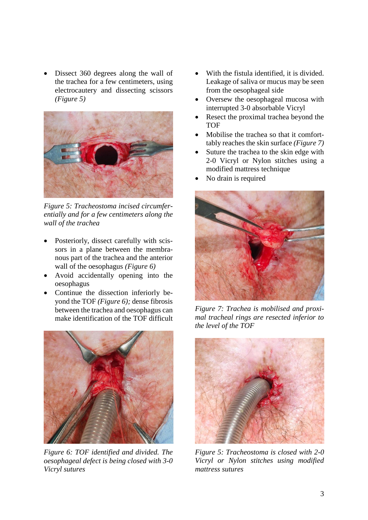Dissect 360 degrees along the wall of the trachea for a few centimeters, using electrocautery and dissecting scissors *(Figure 5)*



*Figure 5: Tracheostoma incised circumferentially and for a few centimeters along the wall of the trachea* 

- Posteriorly, dissect carefully with scissors in a plane between the membranous part of the trachea and the anterior wall of the oesophagus *(Figure 6)*
- Avoid accidentally opening into the oesophagus
- Continue the dissection inferiorly beyond the TOF *(Figure 6);* dense fibrosis between the trachea and oesophagus can make identification of the TOF difficult



*Figure 6: TOF identified and divided. The oesophageal defect is being closed with 3-0 Vicryl sutures*

- With the fistula identified, it is divided. Leakage of saliva or mucus may be seen from the oesophageal side
- Oversew the oesophageal mucosa with interrupted 3-0 absorbable Vicryl
- Resect the proximal trachea beyond the **TOF**
- Mobilise the trachea so that it comforttably reaches the skin surface *(Figure 7)*
- Suture the trachea to the skin edge with 2-0 Vicryl or Nylon stitches using a modified mattress technique
- No drain is required



*Figure 7: Trachea is mobilised and proximal tracheal rings are resected inferior to the level of the TOF*



*Figure 5: Tracheostoma is closed with 2-0 Vicryl or Nylon stitches using modified mattress sutures*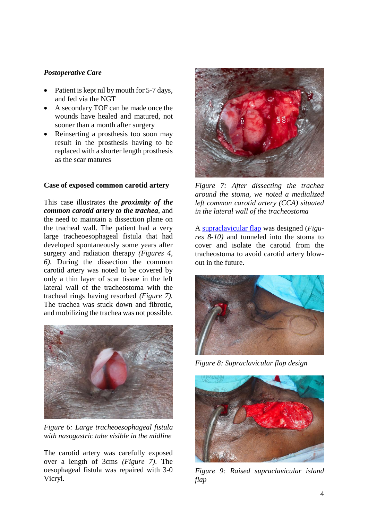# *Postoperative Care*

- Patient is kept nil by mouth for 5-7 days, and fed via the NGT
- A secondary TOF can be made once the wounds have healed and matured, not sooner than a month after surgery
- Reinserting a prosthesis too soon may result in the prosthesis having to be replaced with a shorter length prosthesis as the scar matures

## **Case of exposed common carotid artery**

This case illustrates the *proximity of the common carotid artery to the trachea*, and the need to maintain a dissection plane on the tracheal wall. The patient had a very large tracheoesophageal fistula that had developed spontaneously some years after surgery and radiation therapy *(Figures 4, 6)*. During the dissection the common carotid artery was noted to be covered by only a thin layer of scar tissue in the left lateral wall of the tracheostoma with the tracheal rings having resorbed *(Figure 7).* The trachea was stuck down and fibrotic, and mobilizing the trachea was not possible.



*Figure 6: Large tracheoesophageal fistula with nasogastric tube visible in the midline*

The carotid artery was carefully exposed over a length of 3cms *(Figure 7)*. The oesophageal fistula was repaired with 3-0 Vicryl.



*Figure 7: After dissecting the trachea around the stoma, we noted a medialized left common carotid artery (CCA) situated in the lateral wall of the tracheostoma*

A [supraclavicular flap](https://vula.uct.ac.za/access/content/group/ba5fb1bd-be95-48e5-81be-586fbaeba29d/Supraclavicular%20flap%20for%20head%20_%20neck%20reconstruction.pdf) was designed (*Figures 8-10)* and tunneled into the stoma to cover and isolate the carotid from the tracheostoma to avoid carotid artery blowout in the future.



*Figure 8: Supraclavicular flap design*



*Figure 9: Raised supraclavicular island flap*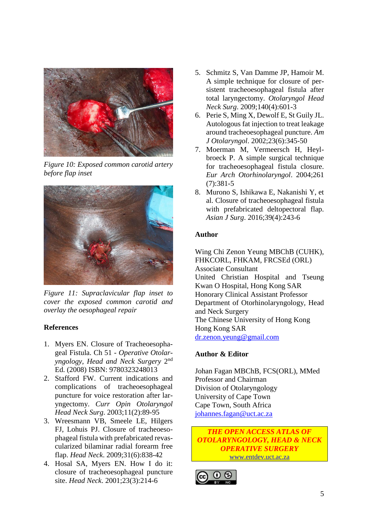

*Figure 10: Exposed common carotid artery before flap inset*



*Figure 11: Supraclavicular flap inset to cover the exposed common carotid and overlay the oesophageal repair*

## **References**

- 1. Myers EN. Closure of Tracheoesophageal Fistula. Ch 51 - *Operative Otolaryngology, Head and Neck Surgery* 2 nd Ed. (2008) ISBN: 9780323248013
- 2. Stafford FW. Current indications and complications of tracheoesophageal puncture for voice restoration after laryngectomy. *Curr Opin Otolaryngol Head Neck Surg*. 2003;11(2):89-95
- 3. Wreesmann VB, Smeele LE, Hilgers FJ, Lohuis PJ. Closure of tracheoesophageal fistula with prefabricated revascularized bilaminar radial forearm free flap. *Head Neck*. 2009;31(6):838-42
- 4. Hosal SA, Myers EN. How I do it: closure of tracheoesophageal puncture site. *Head Neck*. 2001;23(3):214-6
- 5. Schmitz S, Van Damme JP, Hamoir M. A simple technique for closure of persistent tracheoesophageal fistula after total laryngectomy. *Otolaryngol Head Neck Surg*. 2009;140(4):601-3
- 6. Perie S, Ming X, Dewolf E, St Guily JL. Autologous fat injection to treat leakage around tracheoesophageal puncture. *Am J Otolaryngol*. 2002;23(6):345-50
- 7. Moerman M, Vermeersch H, Heylbroeck P. A simple surgical technique for tracheoesophageal fistula closure. *Eur Arch Otorhinolaryngol*. 2004;261 (7):381-5
- 8. Murono S, Ishikawa E, Nakanishi Y, et al. Closure of tracheoesophageal fistula with prefabricated deltopectoral flap. *Asian J Surg*. 2016;39(4):243-6

#### **Author**

Wing Chi Zenon Yeung MBChB (CUHK), FHKCORL, FHKAM, FRCSEd (ORL) Associate Consultant United Christian Hospital and Tseung Kwan O Hospital, Hong Kong SAR Honorary Clinical Assistant Professor Department of Otorhinolaryngology, Head and Neck Surgery The Chinese University of Hong Kong Hong Kong SAR [dr.zenon.yeung@gmail.com](mailto:dr.zenon.yeung@gmail.com)

#### **Author & Editor**

Johan Fagan MBChB, FCS(ORL), MMed Professor and Chairman Division of Otolaryngology University of Cape Town Cape Town, South Africa [johannes.fagan@uct.ac.za](mailto:johannes.fagan@uct.ac.za)

*THE OPEN ACCESS ATLAS OF OTOLARYNGOLOGY, HEAD & NECK OPERATIVE SURGERY* [www.entdev.uct.ac.za](http://www.entdev.uct.ac.za/)